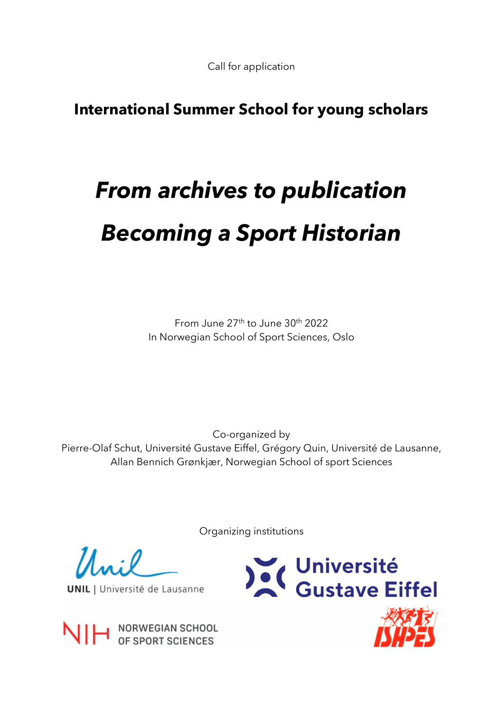Call for application

# **International Summer School for young scholars**

# *From archives to publication Becoming a Sport Historian*

From June 27th to June 30th 2022 In Norwegian School of Sport Sciences, Oslo

Co-organized by Pierre-Olaf Schut, Université Gustave Eiffel, Grégory Quin, Université de Lausanne, Allan Bennich Grønkjær, Norwegian School of sport Sciences

Organizing institutions

**UNIL** | Université de Lausanne



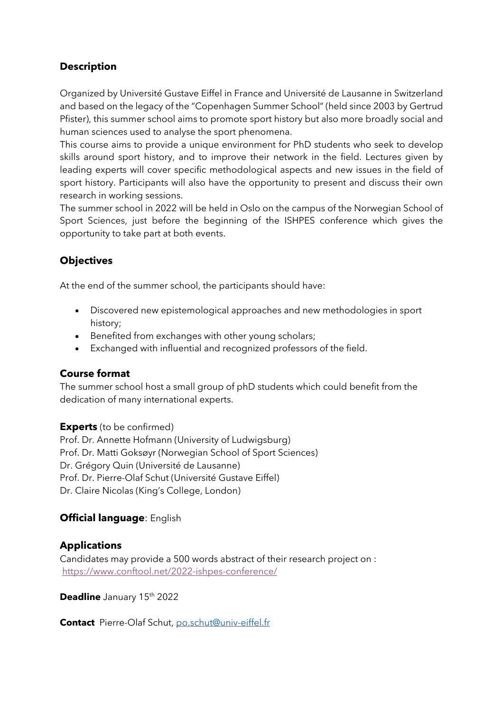# **Description**

Organized by Université Gustave Eiffel in France and Université de Lausanne in Switzerland and based on the legacy of the "Copenhagen Summer School" (held since 2003 by Gertrud Pfister), this summer school aims to promote sport history but also more broadly social and human sciences used to analyse the sport phenomena.

This course aims to provide a unique environment for PhD students who seek to develop skills around sport history, and to improve their network in the field. Lectures given by leading experts will cover specific methodological aspects and new issues in the field of sport history. Participants will also have the opportunity to present and discuss their own research in working sessions.

The summer school in 2022 will be held in Oslo on the campus of the Norwegian School of Sport Sciences, just before the beginning of the ISHPES conference which gives the opportunity to take part at both events.

# **Objectives**

At the end of the summer school, the participants should have:

- Discovered new epistemological approaches and new methodologies in sport history;
- Benefited from exchanges with other young scholars;
- Exchanged with influential and recognized professors of the field.

### **Course format**

The summer school host a small group of phD students which could benefit from the dedication of many international experts.

**Experts** (to be confirmed) Prof. Dr. Annette Hofmann (University of Ludwigsburg) Prof. Dr. Matti Goksøyr (Norwegian School of Sport Sciences) Dr. Grégory Quin (Université de Lausanne) Prof. Dr. Pierre-Olaf Schut (Université Gustave Eiffel) Dr. Claire Nicolas (King's College, London)

# **Official language**: English

# **Applications**

Candidates may provide a 500 words abstract of their research project on : https://www.conftool.net/2022-ishpes-conference/

**Deadline** January 15<sup>th</sup> 2022

**Contact** Pierre-Olaf Schut, po.schut@univ-eiffel.fr